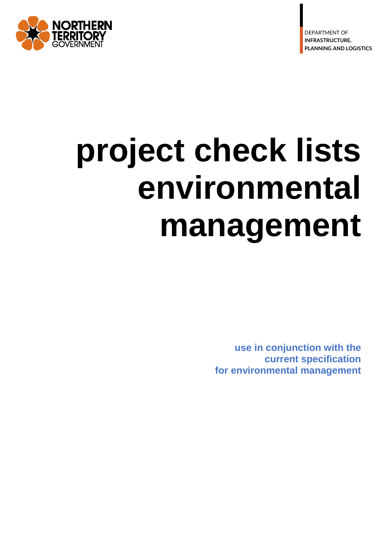

**D** E V E L O P M E N T <sup>2</sup>



# **project check lists environmental management**

**use in conjunction with the current specification for environmental management**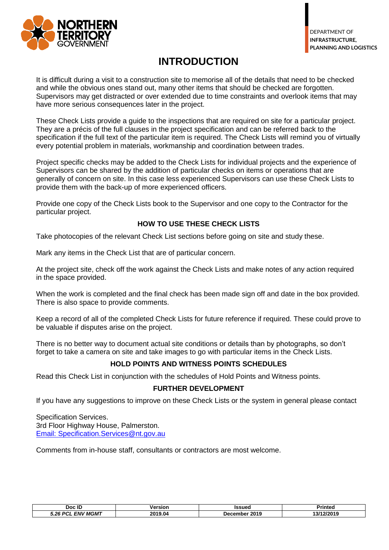

## **INTRODUCTION**

It is difficult during a visit to a construction site to memorise all of the details that need to be checked and while the obvious ones stand out, many other items that should be checked are forgotten. Supervisors may get distracted or over extended due to time constraints and overlook items that may have more serious consequences later in the project.

These Check Lists provide a guide to the inspections that are required on site for a particular project. They are a précis of the full clauses in the project specification and can be referred back to the specification if the full text of the particular item is required. The Check Lists will remind you of virtually every potential problem in materials, workmanship and coordination between trades.

Project specific checks may be added to the Check Lists for individual projects and the experience of Supervisors can be shared by the addition of particular checks on items or operations that are generally of concern on site. In this case less experienced Supervisors can use these Check Lists to provide them with the back-up of more experienced officers.

Provide one copy of the Check Lists book to the Supervisor and one copy to the Contractor for the particular project.

#### **HOW TO USE THESE CHECK LISTS**

Take photocopies of the relevant Check List sections before going on site and study these.

Mark any items in the Check List that are of particular concern.

At the project site, check off the work against the Check Lists and make notes of any action required in the space provided.

When the work is completed and the final check has been made sign off and date in the box provided. There is also space to provide comments.

Keep a record of all of the completed Check Lists for future reference if required. These could prove to be valuable if disputes arise on the project.

There is no better way to document actual site conditions or details than by photographs, so don't forget to take a camera on site and take images to go with particular items in the Check Lists.

#### **HOLD POINTS AND WITNESS POINTS SCHEDULES**

Read this Check List in conjunction with the schedules of Hold Points and Witness points.

#### **FURTHER DEVELOPMENT**

If you have any suggestions to improve on these Check Lists or the system in general please contact

Specification Services. 3rd Floor Highway House, Palmerston. Email: [Specification.Services@nt.gov.au](mailto:Specification.Services@nt.gov.au)

Comments from in-house staff, consultants or contractors are most welcome.

| Doc ID                           | Version | ssued                  | Printed              |
|----------------------------------|---------|------------------------|----------------------|
| <b>MGMT</b><br>5.26<br>ENV<br>n, | 2019.04 | 2019<br>cembe<br>. Jer | ,,,,,,<br>.<br>72019 |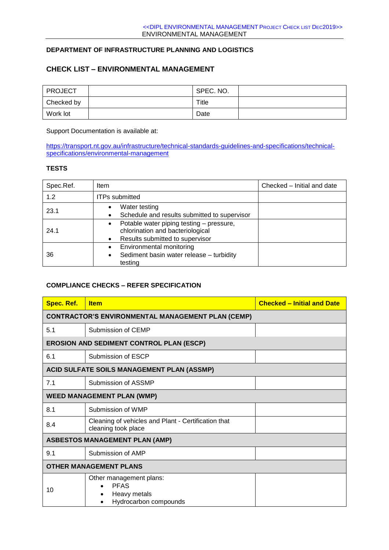#### **DEPARTMENT OF INFRASTRUCTURE PLANNING AND LOGISTICS**

#### **CHECK LIST – ENVIRONMENTAL MANAGEMENT**

| <b>PROJECT</b> | SPEC. NO. |  |
|----------------|-----------|--|
| Checked by     | Title     |  |
| Work lot       | Date      |  |

Support Documentation is available at:

[https://transport.nt.gov.au/infrastructure/technical-standards-guidelines-and-specifications/technical](https://transport.nt.gov.au/infrastructure/technical-standards-guidelines-and-specifications/technical-specifications/environmental-management)[specifications/environmental-management](https://transport.nt.gov.au/infrastructure/technical-standards-guidelines-and-specifications/technical-specifications/environmental-management)

#### **TESTS**

| Spec.Ref. | Item                                                                                                                                      | Checked - Initial and date |
|-----------|-------------------------------------------------------------------------------------------------------------------------------------------|----------------------------|
| 1.2       | <b>ITPs submitted</b>                                                                                                                     |                            |
| 23.1      | Water testing<br>$\bullet$<br>Schedule and results submitted to supervisor<br>$\bullet$                                                   |                            |
| 24.1      | Potable water piping testing - pressure,<br>$\bullet$<br>chlorination and bacteriological<br>Results submitted to supervisor<br>$\bullet$ |                            |
| 36        | Environmental monitoring<br>$\bullet$<br>Sediment basin water release - turbidity<br>٠<br>testing                                         |                            |

#### **COMPLIANCE CHECKS – REFER SPECIFICATION**

| Spec. Ref.                    | <b>Item</b>                                                                     | <b>Checked - Initial and Date</b> |
|-------------------------------|---------------------------------------------------------------------------------|-----------------------------------|
|                               | <b>CONTRACTOR'S ENVIRONMENTAL MANAGEMENT PLAN (CEMP)</b>                        |                                   |
| 5.1                           | Submission of CEMP                                                              |                                   |
|                               | <b>EROSION AND SEDIMENT CONTROL PLAN (ESCP)</b>                                 |                                   |
| 6.1                           | Submission of ESCP                                                              |                                   |
|                               | <b>ACID SULFATE SOILS MANAGEMENT PLAN (ASSMP)</b>                               |                                   |
| 7.1                           | Submission of ASSMP                                                             |                                   |
|                               | <b>WEED MANAGEMENT PLAN (WMP)</b>                                               |                                   |
| 8.1                           | Submission of WMP                                                               |                                   |
| 8.4                           | Cleaning of vehicles and Plant - Certification that<br>cleaning took place      |                                   |
|                               | <b>ASBESTOS MANAGEMENT PLAN (AMP)</b>                                           |                                   |
| 9.1                           | Submission of AMP                                                               |                                   |
| <b>OTHER MANAGEMENT PLANS</b> |                                                                                 |                                   |
| 10                            | Other management plans:<br><b>PFAS</b><br>Heavy metals<br>Hydrocarbon compounds |                                   |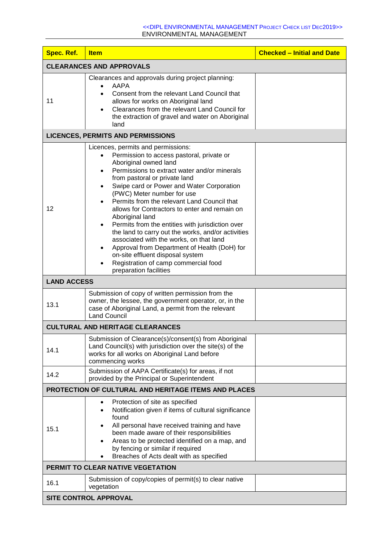| Spec. Ref.         | <b>Item</b>                                                                                                                                                                                                                                                                                                                                                                                                                                                                                                                                                                                                                                                                                                     | <b>Checked - Initial and Date</b> |
|--------------------|-----------------------------------------------------------------------------------------------------------------------------------------------------------------------------------------------------------------------------------------------------------------------------------------------------------------------------------------------------------------------------------------------------------------------------------------------------------------------------------------------------------------------------------------------------------------------------------------------------------------------------------------------------------------------------------------------------------------|-----------------------------------|
|                    | <b>CLEARANCES AND APPROVALS</b>                                                                                                                                                                                                                                                                                                                                                                                                                                                                                                                                                                                                                                                                                 |                                   |
| 11                 | Clearances and approvals during project planning:<br>AAPA<br>Consent from the relevant Land Council that<br>allows for works on Aboriginal land<br>Clearances from the relevant Land Council for<br>the extraction of gravel and water on Aboriginal<br>land                                                                                                                                                                                                                                                                                                                                                                                                                                                    |                                   |
|                    | <b>LICENCES, PERMITS AND PERMISSIONS</b>                                                                                                                                                                                                                                                                                                                                                                                                                                                                                                                                                                                                                                                                        |                                   |
| 12                 | Licences, permits and permissions:<br>Permission to access pastoral, private or<br>Aboriginal owned land<br>Permissions to extract water and/or minerals<br>from pastoral or private land<br>Swipe card or Power and Water Corporation<br>(PWC) Meter number for use<br>Permits from the relevant Land Council that<br>allows for Contractors to enter and remain on<br>Aboriginal land<br>Permits from the entities with jurisdiction over<br>the land to carry out the works, and/or activities<br>associated with the works, on that land<br>Approval from Department of Health (DoH) for<br>$\bullet$<br>on-site effluent disposal system<br>Registration of camp commercial food<br>preparation facilities |                                   |
| <b>LAND ACCESS</b> |                                                                                                                                                                                                                                                                                                                                                                                                                                                                                                                                                                                                                                                                                                                 |                                   |
| 13.1               | Submission of copy of written permission from the<br>owner, the lessee, the government operator, or, in the<br>case of Aboriginal Land, a permit from the relevant<br><b>Land Council</b>                                                                                                                                                                                                                                                                                                                                                                                                                                                                                                                       |                                   |
|                    | <b>CULTURAL AND HERITAGE CLEARANCES</b>                                                                                                                                                                                                                                                                                                                                                                                                                                                                                                                                                                                                                                                                         |                                   |
| 14.1               | Submission of Clearance(s)/consent(s) from Aboriginal<br>Land Council(s) with jurisdiction over the site(s) of the<br>works for all works on Aboriginal Land before<br>commencing works                                                                                                                                                                                                                                                                                                                                                                                                                                                                                                                         |                                   |
| 14.2               | Submission of AAPA Certificate(s) for areas, if not<br>provided by the Principal or Superintendent                                                                                                                                                                                                                                                                                                                                                                                                                                                                                                                                                                                                              |                                   |
|                    | PROTECTION OF CULTURAL AND HERITAGE ITEMS AND PLACES                                                                                                                                                                                                                                                                                                                                                                                                                                                                                                                                                                                                                                                            |                                   |
| 15.1               | Protection of site as specified<br>Notification given if items of cultural significance<br>٠<br>found<br>All personal have received training and have<br>been made aware of their responsibilities<br>Areas to be protected identified on a map, and<br>by fencing or similar if required<br>Breaches of Acts dealt with as specified                                                                                                                                                                                                                                                                                                                                                                           |                                   |
|                    | PERMIT TO CLEAR NATIVE VEGETATION                                                                                                                                                                                                                                                                                                                                                                                                                                                                                                                                                                                                                                                                               |                                   |
| 16.1               | Submission of copy/copies of permit(s) to clear native<br>vegetation                                                                                                                                                                                                                                                                                                                                                                                                                                                                                                                                                                                                                                            |                                   |
|                    | <b>SITE CONTROL APPROVAL</b>                                                                                                                                                                                                                                                                                                                                                                                                                                                                                                                                                                                                                                                                                    |                                   |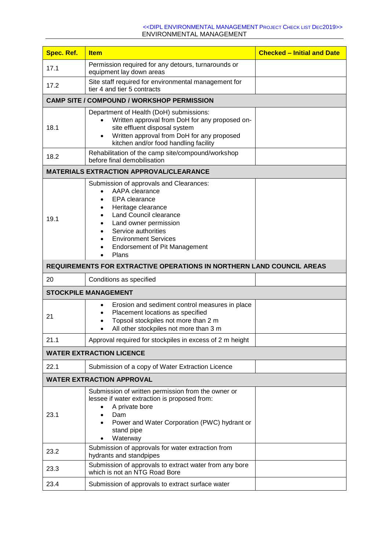| <b>Spec. Ref.</b> | <b>Item</b>                                                                                                                                                                                                                                                       | <b>Checked - Initial and Date</b> |
|-------------------|-------------------------------------------------------------------------------------------------------------------------------------------------------------------------------------------------------------------------------------------------------------------|-----------------------------------|
| 17.1              | Permission required for any detours, turnarounds or<br>equipment lay down areas                                                                                                                                                                                   |                                   |
| 17.2              | Site staff required for environmental management for<br>tier 4 and tier 5 contracts                                                                                                                                                                               |                                   |
|                   | <b>CAMP SITE / COMPOUND / WORKSHOP PERMISSION</b>                                                                                                                                                                                                                 |                                   |
| 18.1              | Department of Health (DoH) submissions:<br>Written approval from DoH for any proposed on-<br>site effluent disposal system<br>Written approval from DoH for any proposed<br>$\bullet$<br>kitchen and/or food handling facility                                    |                                   |
| 18.2              | Rehabilitation of the camp site/compound/workshop<br>before final demobilisation                                                                                                                                                                                  |                                   |
|                   | <b>MATERIALS EXTRACTION APPROVAL/CLEARANCE</b>                                                                                                                                                                                                                    |                                   |
| 19.1              | Submission of approvals and Clearances:<br>AAPA clearance<br>EPA clearance<br>Heritage clearance<br><b>Land Council clearance</b><br>Land owner permission<br>Service authorities<br><b>Environment Services</b><br><b>Endorsement of Pit Management</b><br>Plans |                                   |
|                   | <b>REQUIREMENTS FOR EXTRACTIVE OPERATIONS IN NORTHERN LAND COUNCIL AREAS</b>                                                                                                                                                                                      |                                   |
| 20                | Conditions as specified                                                                                                                                                                                                                                           |                                   |
|                   | <b>STOCKPILE MANAGEMENT</b>                                                                                                                                                                                                                                       |                                   |
| 21                | Erosion and sediment control measures in place<br>$\bullet$<br>Placement locations as specified<br>Topsoil stockpiles not more than 2 m<br>All other stockpiles not more than 3 m<br>$\bullet$                                                                    |                                   |
| 21.1              | Approval required for stockpiles in excess of 2 m height                                                                                                                                                                                                          |                                   |
|                   | <b>WATER EXTRACTION LICENCE</b>                                                                                                                                                                                                                                   |                                   |
| 22.1              | Submission of a copy of Water Extraction Licence                                                                                                                                                                                                                  |                                   |
|                   | <b>WATER EXTRACTION APPROVAL</b>                                                                                                                                                                                                                                  |                                   |
| 23.1              | Submission of written permission from the owner or<br>lessee if water extraction is proposed from:<br>A private bore<br>Dam<br>Power and Water Corporation (PWC) hydrant or<br>stand pipe<br>Waterway                                                             |                                   |
| 23.2              | Submission of approvals for water extraction from<br>hydrants and standpipes                                                                                                                                                                                      |                                   |
| 23.3              | Submission of approvals to extract water from any bore<br>which is not an NTG Road Bore                                                                                                                                                                           |                                   |
| 23.4              | Submission of approvals to extract surface water                                                                                                                                                                                                                  |                                   |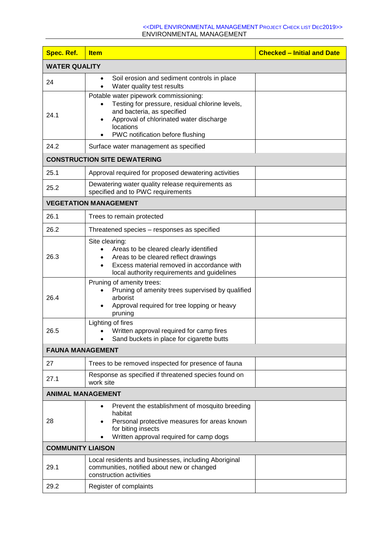| <b>Spec. Ref.</b>        | <b>Item</b>                                                                                                                                                                                                        | <b>Checked - Initial and Date</b> |
|--------------------------|--------------------------------------------------------------------------------------------------------------------------------------------------------------------------------------------------------------------|-----------------------------------|
| <b>WATER QUALITY</b>     |                                                                                                                                                                                                                    |                                   |
| 24                       | Soil erosion and sediment controls in place<br>$\bullet$<br>Water quality test results                                                                                                                             |                                   |
| 24.1                     | Potable water pipework commissioning:<br>Testing for pressure, residual chlorine levels,<br>and bacteria, as specified<br>Approval of chlorinated water discharge<br>locations<br>PWC notification before flushing |                                   |
| 24.2                     | Surface water management as specified                                                                                                                                                                              |                                   |
|                          | <b>CONSTRUCTION SITE DEWATERING</b>                                                                                                                                                                                |                                   |
| 25.1                     | Approval required for proposed dewatering activities                                                                                                                                                               |                                   |
| 25.2                     | Dewatering water quality release requirements as<br>specified and to PWC requirements                                                                                                                              |                                   |
|                          | <b>VEGETATION MANAGEMENT</b>                                                                                                                                                                                       |                                   |
| 26.1                     | Trees to remain protected                                                                                                                                                                                          |                                   |
| 26.2                     | Threatened species - responses as specified                                                                                                                                                                        |                                   |
| 26.3                     | Site clearing:<br>Areas to be cleared clearly identified<br>Areas to be cleared reflect drawings<br>Excess material removed in accordance with<br>local authority requirements and guidelines                      |                                   |
| 26.4                     | Pruning of amenity trees:<br>Pruning of amenity trees supervised by qualified<br>arborist<br>Approval required for tree lopping or heavy<br>$\bullet$<br>pruning                                                   |                                   |
| 26.5                     | Lighting of fires<br>Written approval required for camp fires<br>Sand buckets in place for cigarette butts                                                                                                         |                                   |
| <b>FAUNA MANAGEMENT</b>  |                                                                                                                                                                                                                    |                                   |
| 27                       | Trees to be removed inspected for presence of fauna                                                                                                                                                                |                                   |
| 27.1                     | Response as specified if threatened species found on<br>work site                                                                                                                                                  |                                   |
| <b>ANIMAL MANAGEMENT</b> |                                                                                                                                                                                                                    |                                   |
| 28                       | Prevent the establishment of mosquito breeding<br>$\bullet$<br>habitat<br>Personal protective measures for areas known<br>for biting insects<br>Written approval required for camp dogs                            |                                   |
| <b>COMMUNITY LIAISON</b> |                                                                                                                                                                                                                    |                                   |
| 29.1                     | Local residents and businesses, including Aboriginal<br>communities, notified about new or changed<br>construction activities                                                                                      |                                   |
| 29.2                     | Register of complaints                                                                                                                                                                                             |                                   |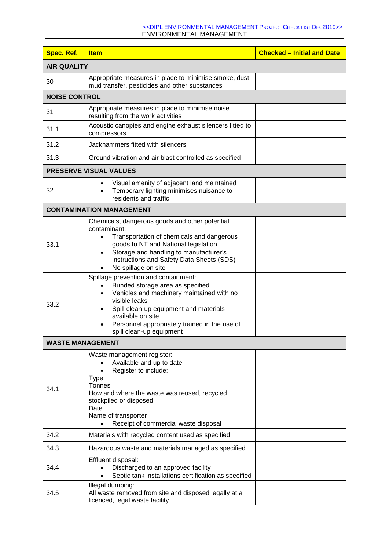| <b>Spec. Ref.</b>       | <b>Item</b>                                                                                                                                                                                                                                                                                     | <b>Checked - Initial and Date</b> |
|-------------------------|-------------------------------------------------------------------------------------------------------------------------------------------------------------------------------------------------------------------------------------------------------------------------------------------------|-----------------------------------|
| <b>AIR QUALITY</b>      |                                                                                                                                                                                                                                                                                                 |                                   |
| 30                      | Appropriate measures in place to minimise smoke, dust,<br>mud transfer, pesticides and other substances                                                                                                                                                                                         |                                   |
| <b>NOISE CONTROL</b>    |                                                                                                                                                                                                                                                                                                 |                                   |
| 31                      | Appropriate measures in place to minimise noise<br>resulting from the work activities                                                                                                                                                                                                           |                                   |
| 31.1                    | Acoustic canopies and engine exhaust silencers fitted to<br>compressors                                                                                                                                                                                                                         |                                   |
| 31.2                    | Jackhammers fitted with silencers                                                                                                                                                                                                                                                               |                                   |
| 31.3                    | Ground vibration and air blast controlled as specified                                                                                                                                                                                                                                          |                                   |
|                         | PRESERVE VISUAL VALUES                                                                                                                                                                                                                                                                          |                                   |
| 32                      | Visual amenity of adjacent land maintained<br>Temporary lighting minimises nuisance to<br>residents and traffic                                                                                                                                                                                 |                                   |
|                         | <b>CONTAMINATION MANAGEMENT</b>                                                                                                                                                                                                                                                                 |                                   |
| 33.1                    | Chemicals, dangerous goods and other potential<br>contaminant:<br>Transportation of chemicals and dangerous<br>goods to NT and National legislation<br>Storage and handling to manufacturer's<br>instructions and Safety Data Sheets (SDS)<br>No spillage on site                               |                                   |
| 33.2                    | Spillage prevention and containment:<br>Bunded storage area as specified<br>$\bullet$<br>Vehicles and machinery maintained with no<br>visible leaks<br>Spill clean-up equipment and materials<br>available on site<br>Personnel appropriately trained in the use of<br>spill clean-up equipment |                                   |
| <b>WASTE MANAGEMENT</b> |                                                                                                                                                                                                                                                                                                 |                                   |
| 34.1                    | Waste management register:<br>Available and up to date<br>Register to include:<br>Type<br>Tonnes<br>How and where the waste was reused, recycled,<br>stockpiled or disposed<br>Date<br>Name of transporter<br>Receipt of commercial waste disposal                                              |                                   |
| 34.2                    | Materials with recycled content used as specified                                                                                                                                                                                                                                               |                                   |
| 34.3                    | Hazardous waste and materials managed as specified                                                                                                                                                                                                                                              |                                   |
| 34.4                    | Effluent disposal:<br>Discharged to an approved facility<br>Septic tank installations certification as specified                                                                                                                                                                                |                                   |
| 34.5                    | Illegal dumping:<br>All waste removed from site and disposed legally at a<br>licenced, legal waste facility                                                                                                                                                                                     |                                   |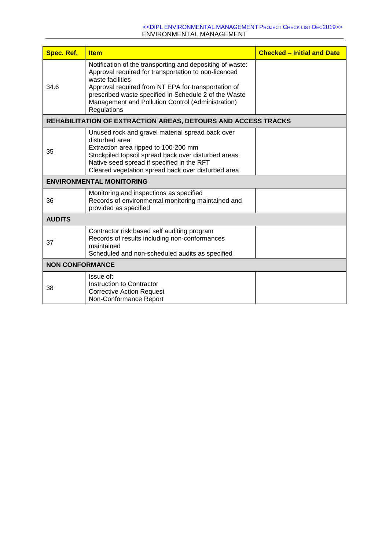| <b>Spec. Ref.</b>      | <b>Item</b>                                                                                                                                                                                                                                                                                                               | <b>Checked - Initial and Date</b> |
|------------------------|---------------------------------------------------------------------------------------------------------------------------------------------------------------------------------------------------------------------------------------------------------------------------------------------------------------------------|-----------------------------------|
| 34.6                   | Notification of the transporting and depositing of waste:<br>Approval required for transportation to non-licenced<br>waste facilities<br>Approval required from NT EPA for transportation of<br>prescribed waste specified in Schedule 2 of the Waste<br>Management and Pollution Control (Administration)<br>Regulations |                                   |
|                        | <b>REHABILITATION OF EXTRACTION AREAS, DETOURS AND ACCESS TRACKS</b>                                                                                                                                                                                                                                                      |                                   |
| 35                     | Unused rock and gravel material spread back over<br>disturbed area<br>Extraction area ripped to 100-200 mm<br>Stockpiled topsoil spread back over disturbed areas<br>Native seed spread if specified in the RFT<br>Cleared vegetation spread back over disturbed area                                                     |                                   |
|                        | <b>ENVIRONMENTAL MONITORING</b>                                                                                                                                                                                                                                                                                           |                                   |
| 36                     | Monitoring and inspections as specified<br>Records of environmental monitoring maintained and<br>provided as specified                                                                                                                                                                                                    |                                   |
| <b>AUDITS</b>          |                                                                                                                                                                                                                                                                                                                           |                                   |
| 37                     | Contractor risk based self auditing program<br>Records of results including non-conformances<br>maintained<br>Scheduled and non-scheduled audits as specified                                                                                                                                                             |                                   |
| <b>NON CONFORMANCE</b> |                                                                                                                                                                                                                                                                                                                           |                                   |
| 38                     | Issue of:<br>Instruction to Contractor<br><b>Corrective Action Request</b><br>Non-Conformance Report                                                                                                                                                                                                                      |                                   |